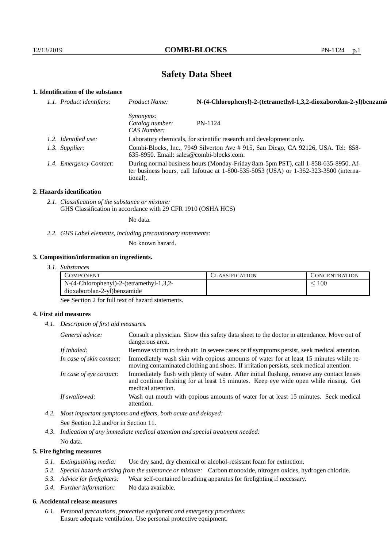# **Safety Data Sheet**

# **1. Identification of the substance**

| 1.1. Product identifiers: | Product Name:                                      | N-(4-Chlorophenyl)-2-(tetramethyl-1,3,2-dioxaborolan-2-yl)benzami                                                                                                               |
|---------------------------|----------------------------------------------------|---------------------------------------------------------------------------------------------------------------------------------------------------------------------------------|
|                           | <i>Synonyms:</i><br>Catalog number:<br>CAS Number: | PN-1124                                                                                                                                                                         |
| 1.2. Identified use:      |                                                    | Laboratory chemicals, for scientific research and development only.                                                                                                             |
| 1.3. Supplier:            | 635-8950. Email: sales@combi-blocks.com.           | Combi-Blocks, Inc., 7949 Silverton Ave # 915, San Diego, CA 92126, USA. Tel: 858-                                                                                               |
| 1.4. Emergency Contact:   | tional).                                           | During normal business hours (Monday-Friday 8am-5pm PST), call 1-858-635-8950. Af-<br>ter business hours, call Infotrac at $1-800-535-5053$ (USA) or $1-352-323-3500$ (interna- |

#### **2. Hazards identification**

*2.1. Classification of the substance or mixture:* GHS Classification in accordance with 29 CFR 1910 (OSHA HCS)

No data.

*2.2. GHS Label elements, including precautionary statements:*

No known hazard.

### **3. Composition/information on ingredients.**

*3.1. Substances*

| COMPONENT                                  | CLASSIFICATION | <b>CONCENTRATION</b> |
|--------------------------------------------|----------------|----------------------|
| $N-(4-Chlorophenyl)-2-(tetramethyl-1,3,2-$ |                | t00                  |
| dioxaborolan-2-yl)benzamide                |                |                      |

See Section 2 for full text of hazard statements.

### **4. First aid measures**

*4.1. Description of first aid measures.*

| General advice:          | Consult a physician. Show this safety data sheet to the doctor in attendance. Move out of<br>dangerous area.                                                                                            |
|--------------------------|---------------------------------------------------------------------------------------------------------------------------------------------------------------------------------------------------------|
| If inhaled:              | Remove victim to fresh air. In severe cases or if symptoms persist, seek medical attention.                                                                                                             |
| In case of skin contact: | Immediately wash skin with copious amounts of water for at least 15 minutes while re-<br>moving contaminated clothing and shoes. If irritation persists, seek medical attention.                        |
| In case of eye contact:  | Immediately flush with plenty of water. After initial flushing, remove any contact lenses<br>and continue flushing for at least 15 minutes. Keep eye wide open while rinsing. Get<br>medical attention. |
| If swallowed:            | Wash out mouth with copious amounts of water for at least 15 minutes. Seek medical<br>attention.                                                                                                        |

*4.2. Most important symptoms and effects, both acute and delayed:* See Section 2.2 and/or in Section 11.

*4.3. Indication of any immediate medical attention and special treatment needed:* No data.

### **5. Fire fighting measures**

- *5.1. Extinguishing media:* Use dry sand, dry chemical or alcohol-resistant foam for extinction.
- *5.2. Special hazards arising from the substance or mixture:* Carbon monoxide, nitrogen oxides, hydrogen chloride.
- *5.3. Advice for firefighters:* Wear self-contained breathing apparatus for firefighting if necessary.
- *5.4. Further information:* No data available.

### **6. Accidental release measures**

*6.1. Personal precautions, protective equipment and emergency procedures:* Ensure adequate ventilation. Use personal protective equipment.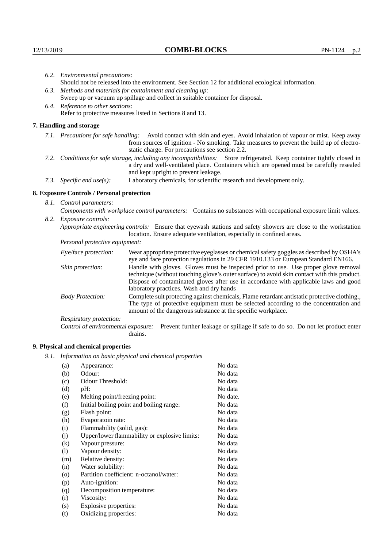| 6.2. Environmental precautions:                                                                                                                                                                                                                            |                                                                                                                                                                                                                                                                    |  |  |  |
|------------------------------------------------------------------------------------------------------------------------------------------------------------------------------------------------------------------------------------------------------------|--------------------------------------------------------------------------------------------------------------------------------------------------------------------------------------------------------------------------------------------------------------------|--|--|--|
| Should not be released into the environment. See Section 12 for additional ecological information.                                                                                                                                                         |                                                                                                                                                                                                                                                                    |  |  |  |
| 6.3. Methods and materials for containment and cleaning up:                                                                                                                                                                                                |                                                                                                                                                                                                                                                                    |  |  |  |
|                                                                                                                                                                                                                                                            | Sweep up or vacuum up spillage and collect in suitable container for disposal.                                                                                                                                                                                     |  |  |  |
| 6.4. Reference to other sections:<br>Refer to protective measures listed in Sections 8 and 13.                                                                                                                                                             |                                                                                                                                                                                                                                                                    |  |  |  |
|                                                                                                                                                                                                                                                            |                                                                                                                                                                                                                                                                    |  |  |  |
| 7. Handling and storage                                                                                                                                                                                                                                    |                                                                                                                                                                                                                                                                    |  |  |  |
|                                                                                                                                                                                                                                                            | 7.1. Precautions for safe handling: Avoid contact with skin and eyes. Avoid inhalation of vapour or mist. Keep away<br>from sources of ignition - No smoking. Take measures to prevent the build up of electro-<br>static charge. For precautions see section 2.2. |  |  |  |
| 7.2. Conditions for safe storage, including any incompatibilities: Store refrigerated. Keep container tightly closed in<br>a dry and well-ventilated place. Containers which are opened must be carefully resealed<br>and kept upright to prevent leakage. |                                                                                                                                                                                                                                                                    |  |  |  |
| 7.3. Specific end use(s):                                                                                                                                                                                                                                  | Laboratory chemicals, for scientific research and development only.                                                                                                                                                                                                |  |  |  |
| 8. Exposure Controls / Personal protection                                                                                                                                                                                                                 |                                                                                                                                                                                                                                                                    |  |  |  |
| 8.1. Control parameters:                                                                                                                                                                                                                                   |                                                                                                                                                                                                                                                                    |  |  |  |
| Components with workplace control parameters: Contains no substances with occupational exposure limit values.                                                                                                                                              |                                                                                                                                                                                                                                                                    |  |  |  |
| 8.2. Exposure controls:                                                                                                                                                                                                                                    |                                                                                                                                                                                                                                                                    |  |  |  |
| Appropriate engineering controls: Ensure that eyewash stations and safety showers are close to the workstation<br>location. Ensure adequate ventilation, especially in confined areas.                                                                     |                                                                                                                                                                                                                                                                    |  |  |  |
| Personal protective equipment:                                                                                                                                                                                                                             |                                                                                                                                                                                                                                                                    |  |  |  |
| Eye/face protection:                                                                                                                                                                                                                                       | Wear appropriate protective eyeglasses or chemical safety goggles as described by OSHA's<br>eye and face protection regulations in 29 CFR 1910.133 or European Standard EN166.                                                                                     |  |  |  |
| Skin protection:                                                                                                                                                                                                                                           | Handle with gloves. Gloves must be inspected prior to use. Use proper glove removal<br>technique (without touching glove's outer surface) to avoid skin contact with this product.                                                                                 |  |  |  |

### **8. Exposure Controls / Personal protection**

| Eye/face protection:               | Wear appropriate protective eyeglasses or chemical safety goggles as described by OSHA's<br>eye and face protection regulations in 29 CFR 1910.133 or European Standard EN166.                                                                                                                                         |
|------------------------------------|------------------------------------------------------------------------------------------------------------------------------------------------------------------------------------------------------------------------------------------------------------------------------------------------------------------------|
| Skin protection:                   | Handle with gloves. Gloves must be inspected prior to use. Use proper glove removal<br>technique (without touching glove's outer surface) to avoid skin contact with this product.<br>Dispose of contaminated gloves after use in accordance with applicable laws and good<br>laboratory practices. Wash and dry hands |
| <b>Body Protection:</b>            | Complete suit protecting against chemicals, Flame retardant antistatic protective clothing.<br>The type of protective equipment must be selected according to the concentration and<br>amount of the dangerous substance at the specific workplace.                                                                    |
| Respiratory protection:            |                                                                                                                                                                                                                                                                                                                        |
| Control of environmental exposure: | Prevent further leakage or spillage if safe to do so. Do not let product enter<br>drains.                                                                                                                                                                                                                              |

# **9. Physical and chemical properties**

*9.1. Information on basic physical and chemical properties*

| (a)                        | Appearance:                                   | No data  |
|----------------------------|-----------------------------------------------|----------|
| (b)                        | Odour:                                        | No data  |
| (c)                        | Odour Threshold:                              | No data  |
| (d)                        | pH:                                           | No data  |
| (e)                        | Melting point/freezing point:                 | No date. |
| (f)                        | Initial boiling point and boiling range:      | No data  |
| (g)                        | Flash point:                                  | No data  |
| (h)                        | Evaporatoin rate:                             | No data  |
| (i)                        | Flammability (solid, gas):                    | No data  |
| (j)                        | Upper/lower flammability or explosive limits: | No data  |
| $\rm(k)$                   | Vapour pressure:                              | No data  |
| $\left( \mathrm{l}\right)$ | Vapour density:                               | No data  |
| (m)                        | Relative density:                             | No data  |
| (n)                        | Water solubility:                             | No data  |
| $\rm (o)$                  | Partition coefficient: n-octanol/water:       | No data  |
| (p)                        | Auto-ignition:                                | No data  |
| (q)                        | Decomposition temperature:                    | No data  |
| (r)                        | Viscosity:                                    | No data  |
| (s)                        | Explosive properties:                         | No data  |
| (t)                        | Oxidizing properties:                         | No data  |